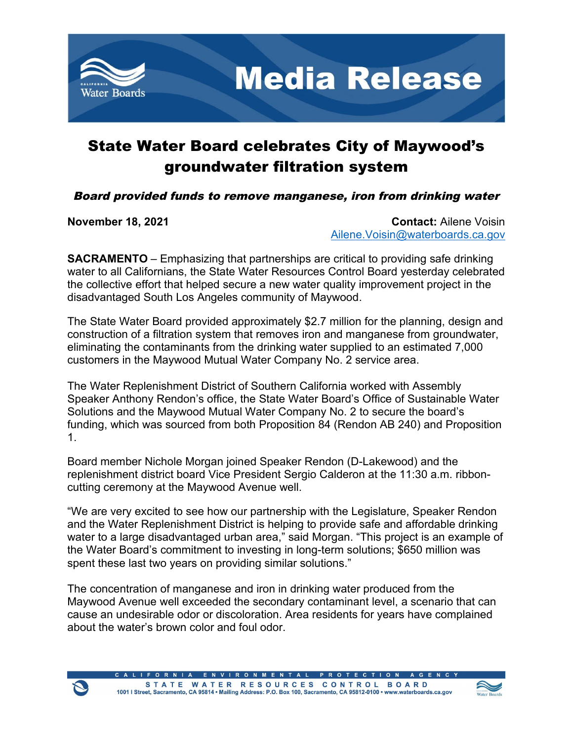

## State Water Board celebrates City of Maywood's groundwater filtration system

Board provided funds to remove manganese, iron from drinking water

**November 18, 2021 Contact:** Ailene Voisin [Ailene.Voisin@waterboards.ca.gov](mailto:Ailene.Voisin@waterboards.ca.gov)

**SACRAMENTO** – Emphasizing that partnerships are critical to providing safe drinking water to all Californians, the State Water Resources Control Board yesterday celebrated the collective effort that helped secure a new water quality improvement project in the disadvantaged South Los Angeles community of Maywood.

The State Water Board provided approximately \$2.7 million for the planning, design and construction of a filtration system that removes iron and manganese from groundwater, eliminating the contaminants from the drinking water supplied to an estimated 7,000 customers in the Maywood Mutual Water Company No. 2 service area.

The Water Replenishment District of Southern California worked with Assembly Speaker Anthony Rendon's office, the State Water Board's Office of Sustainable Water Solutions and the Maywood Mutual Water Company No. 2 to secure the board's funding, which was sourced from both Proposition 84 (Rendon AB 240) and Proposition 1.

Board member Nichole Morgan joined Speaker Rendon (D-Lakewood) and the replenishment district board Vice President Sergio Calderon at the 11:30 a.m. ribboncutting ceremony at the Maywood Avenue well.

"We are very excited to see how our partnership with the Legislature, Speaker Rendon and the Water Replenishment District is helping to provide safe and affordable drinking water to a large disadvantaged urban area," said Morgan. "This project is an example of the Water Board's commitment to investing in long-term solutions; \$650 million was spent these last two years on providing similar solutions."

The concentration of manganese and iron in drinking water produced from the Maywood Avenue well exceeded the secondary contaminant level, a scenario that can cause an undesirable odor or discoloration. Area residents for years have complained about the water's brown color and foul odor.